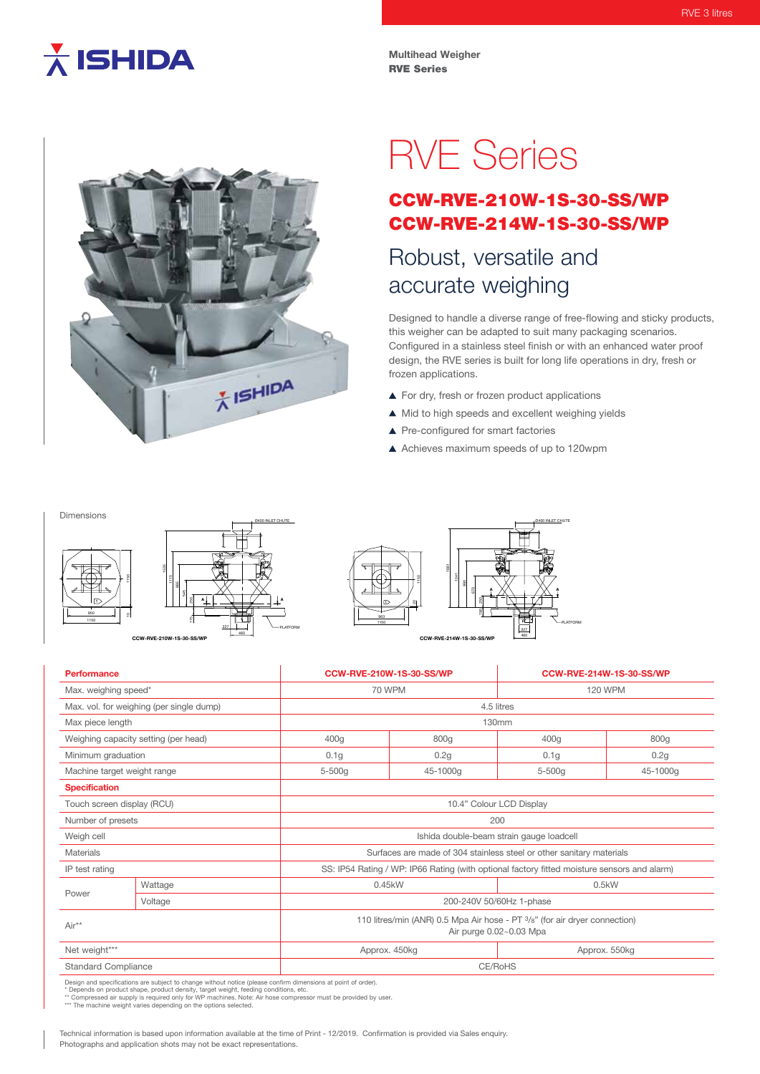## $\overline{\lambda}$  ISHIDA

**Multihead Weigher** RVE Series



# RVE Series

### CCW-RVE-210W-1S-30-SS/WP CCW-RVE-214W-1S-30-SS/WP

## Robust, versatile and accurate weighing

Designed to handle a diverse range of free-flowing and sticky products, this weigher can be adapted to suit many packaging scenarios. Configured in a stainless steel finish or with an enhanced water proof design, the RVE series is built for long life operations in dry, fresh or frozen applications.

- ▲ For dry, fresh or frozen product applications
- $\blacktriangle$  Mid to high speeds and excellent weighing yields
- ▲ Pre-configured for smart factories
- Achieves maximum speeds of up to 120wpm

#### Dimensions





Ø400 INLET CHUTE





| <b>Performance</b>                       |         |                  | <b>CCW-RVE-210W-1S-30-SS/WP</b>                                                                       |                  | CCW-RVE-214W-1S-30-SS/WP |  |
|------------------------------------------|---------|------------------|-------------------------------------------------------------------------------------------------------|------------------|--------------------------|--|
| Max. weighing speed*                     |         |                  | <b>70 WPM</b>                                                                                         |                  | <b>120 WPM</b>           |  |
| Max. vol. for weighing (per single dump) |         | 4.5 litres       |                                                                                                       |                  |                          |  |
| Max piece length                         |         |                  | 130mm                                                                                                 |                  |                          |  |
| Weighing capacity setting (per head)     |         | 400g             | 800g                                                                                                  | 400g             | 800g                     |  |
| Minimum graduation                       |         | 0.1 <sub>g</sub> | 0.2g                                                                                                  | 0.1 <sub>g</sub> | 0.2g                     |  |
| Machine target weight range              |         | $5 - 500g$       | 45-1000g                                                                                              | 5-500g           | 45-1000g                 |  |
| <b>Specification</b>                     |         |                  |                                                                                                       |                  |                          |  |
| Touch screen display (RCU)               |         |                  | 10.4" Colour LCD Display                                                                              |                  |                          |  |
| Number of presets                        |         |                  | 200                                                                                                   |                  |                          |  |
| Weigh cell                               |         |                  | Ishida double-beam strain gauge loadcell                                                              |                  |                          |  |
| <b>Materials</b>                         |         |                  | Surfaces are made of 304 stainless steel or other sanitary materials                                  |                  |                          |  |
| IP test rating                           |         |                  | SS: IP54 Rating / WP: IP66 Rating (with optional factory fitted moisture sensors and alarm)           |                  |                          |  |
| Power                                    | Wattage |                  | 0.45kW<br>0.5kW                                                                                       |                  |                          |  |
|                                          | Voltage |                  | 200-240V 50/60Hz 1-phase                                                                              |                  |                          |  |
| Air**                                    |         |                  | 110 litres/min (ANR) 0.5 Mpa Air hose - PT 3/8" (for air dryer connection)<br>Air purge 0.02~0.03 Mpa |                  |                          |  |
| Net weight***                            |         |                  | Approx. 450kg                                                                                         |                  | Approx. 550kg            |  |
| <b>Standard Compliance</b>               |         |                  | CE/RoHS                                                                                               |                  |                          |  |

Design and specifications are subject to change without notice (please confirm dimensions at point of order).<br>\* Depends on product shape, product density, target weight, feeding conditions, etc.<br>\*\* Compressed air supply is